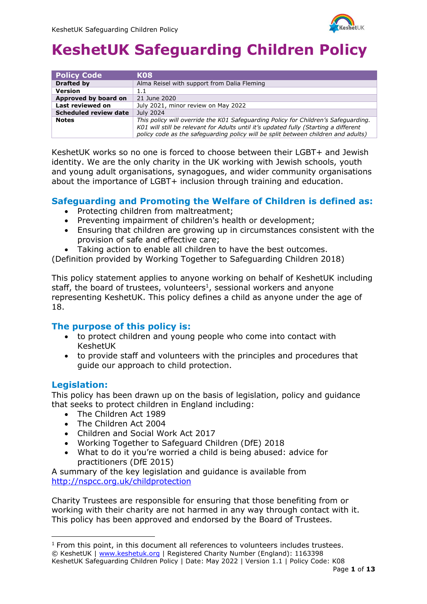

| <b>Policy Code</b>    | K <sub>08</sub>                                                                                                                                                                                                                                                 |
|-----------------------|-----------------------------------------------------------------------------------------------------------------------------------------------------------------------------------------------------------------------------------------------------------------|
| <b>Drafted by</b>     | Alma Reisel with support from Dalia Fleming                                                                                                                                                                                                                     |
| <b>Version</b>        | 1.1                                                                                                                                                                                                                                                             |
| Approved by board on  | 21 June 2020                                                                                                                                                                                                                                                    |
| Last reviewed on      | July 2021, minor review on May 2022                                                                                                                                                                                                                             |
| Scheduled review date | July 2024                                                                                                                                                                                                                                                       |
| <b>Notes</b>          | This policy will override the K01 Safeguarding Policy for Children's Safeguarding.<br>K01 will still be relevant for Adults until it's updated fully (Starting a different<br>policy code as the safeguarding policy will be split between children and adults) |

KeshetUK works so no one is forced to choose between their LGBT+ and Jewish identity. We are the only charity in the UK working with Jewish schools, youth and young adult organisations, synagogues, and wider community organisations about the importance of LGBT+ inclusion through training and education.

#### **Safeguarding and Promoting the Welfare of Children is defined as:**

- Protecting children from maltreatment;
- Preventing impairment of children's health or development;
- Ensuring that children are growing up in circumstances consistent with the provision of safe and effective care;
- Taking action to enable all children to have the best outcomes.

(Definition provided by Working Together to Safeguarding Children 2018)

This policy statement applies to anyone working on behalf of KeshetUK including staff, the board of trustees, volunteers<sup>1</sup>, sessional workers and anyone representing KeshetUK. This policy defines a child as anyone under the age of 18.

#### **The purpose of this policy is:**

- to protect children and young people who come into contact with KeshetUK
- to provide staff and volunteers with the principles and procedures that guide our approach to child protection.

#### **Legislation:**

This policy has been drawn up on the basis of legislation, policy and guidance that seeks to protect children in England including:

- The Children Act 1989
- The Children Act 2004
- Children and Social Work Act 2017
- Working Together to Safeguard Children (DfE) 2018
- What to do it you're worried a child is being abused: advice for practitioners (DfE 2015)

A summary of the key legislation and guidance is available from <http://nspcc.org.uk/childprotection>

Charity Trustees are responsible for ensuring that those benefiting from or working with their charity are not harmed in any way through contact with it. This policy has been approved and endorsed by the Board of Trustees.

<sup>©</sup> KeshetUK | [www.keshetuk.org](http://www.keshetuk.org/) | Registered Charity Number (England): 1163398 KeshetUK Safeguarding Children Policy | Date: May 2022 | Version 1.1 | Policy Code: K08 <sup>1</sup> From this point, in this document all references to volunteers includes trustees.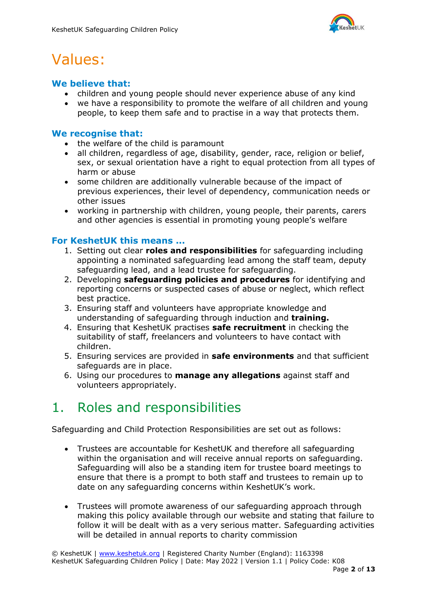

## Values:

### **We believe that:**

- children and young people should never experience abuse of any kind
- we have a responsibility to promote the welfare of all children and young people, to keep them safe and to practise in a way that protects them.

#### **We recognise that:**

- the welfare of the child is paramount
- all children, regardless of age, disability, gender, race, religion or belief, sex, or sexual orientation have a right to equal protection from all types of harm or abuse
- some children are additionally vulnerable because of the impact of previous experiences, their level of dependency, communication needs or other issues
- working in partnership with children, young people, their parents, carers and other agencies is essential in promoting young people's welfare

### **For KeshetUK this means ...**

- 1. Setting out clear **roles and responsibilities** for safeguarding including appointing a nominated safeguarding lead among the staff team, deputy safeguarding lead, and a lead trustee for safeguarding.
- 2. Developing **safeguarding policies and procedures** for identifying and reporting concerns or suspected cases of abuse or neglect, which reflect best practice.
- 3. Ensuring staff and volunteers have appropriate knowledge and understanding of safeguarding through induction and **training.**
- 4. Ensuring that KeshetUK practises **safe recruitment** in checking the suitability of staff, freelancers and volunteers to have contact with children.
- 5. Ensuring services are provided in **safe environments** and that sufficient safeguards are in place.
- 6. Using our procedures to **manage any allegations** against staff and volunteers appropriately.

## 1. Roles and responsibilities

Safeguarding and Child Protection Responsibilities are set out as follows:

- Trustees are accountable for KeshetUK and therefore all safeguarding within the organisation and will receive annual reports on safeguarding. Safeguarding will also be a standing item for trustee board meetings to ensure that there is a prompt to both staff and trustees to remain up to date on any safeguarding concerns within KeshetUK's work.
- Trustees will promote awareness of our safeguarding approach through making this policy available through our website and stating that failure to follow it will be dealt with as a very serious matter. Safeguarding activities will be detailed in annual reports to charity commission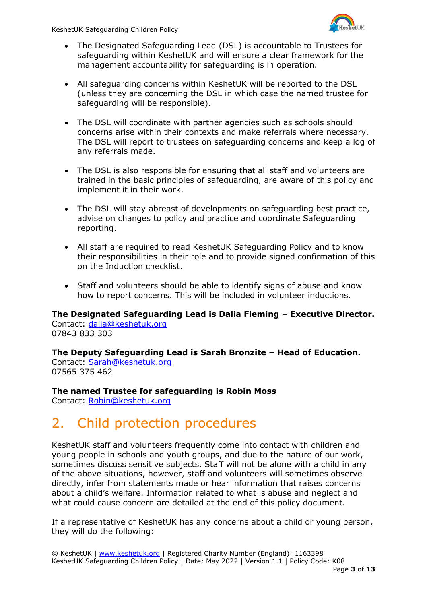

- The Designated Safeguarding Lead (DSL) is accountable to Trustees for safeguarding within KeshetUK and will ensure a clear framework for the management accountability for safeguarding is in operation.
- All safeguarding concerns within KeshetUK will be reported to the DSL (unless they are concerning the DSL in which case the named trustee for safeguarding will be responsible).
- The DSL will coordinate with partner agencies such as schools should concerns arise within their contexts and make referrals where necessary. The DSL will report to trustees on safeguarding concerns and keep a log of any referrals made.
- The DSL is also responsible for ensuring that all staff and volunteers are trained in the basic principles of safeguarding, are aware of this policy and implement it in their work.
- The DSL will stay abreast of developments on safeguarding best practice, advise on changes to policy and practice and coordinate Safeguarding reporting.
- All staff are required to read KeshetUK Safeguarding Policy and to know their responsibilities in their role and to provide signed confirmation of this on the Induction checklist.
- Staff and volunteers should be able to identify signs of abuse and know how to report concerns. This will be included in volunteer inductions.

**The Designated Safeguarding Lead is Dalia Fleming – Executive Director.**  Contact: [dalia@keshetuk.org](mailto:dalia@keshetuk.org)

07843 833 303

**The Deputy Safeguarding Lead is Sarah Bronzite – Head of Education.**

Contact: [Sarah@keshetuk.org](mailto:Sarah@keshetuk.org) 07565 375 462

**The named Trustee for safeguarding is Robin Moss**

Contact: [Robin@keshetuk.org](mailto:Robin@keshetuk.org)

## 2. Child protection procedures

KeshetUK staff and volunteers frequently come into contact with children and young people in schools and youth groups, and due to the nature of our work, sometimes discuss sensitive subjects. Staff will not be alone with a child in any of the above situations, however, staff and volunteers will sometimes observe directly, infer from statements made or hear information that raises concerns about a child's welfare. Information related to what is abuse and neglect and what could cause concern are detailed at the end of this policy document.

If a representative of KeshetUK has any concerns about a child or young person, they will do the following: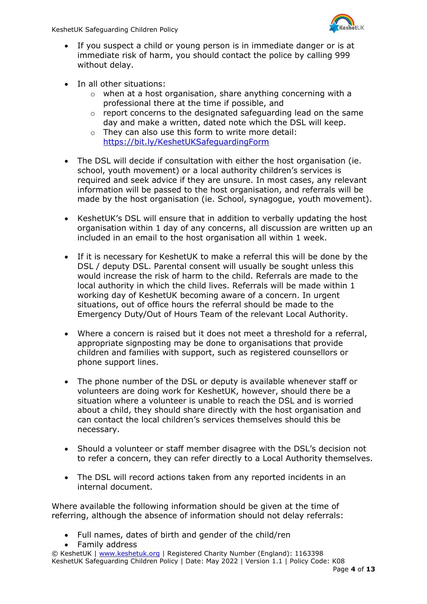

- If you suspect a child or young person is in immediate danger or is at immediate risk of harm, you should contact the police by calling 999 without delay.
- In all other situations:
	- o when at a host organisation, share anything concerning with a professional there at the time if possible, and
	- $\circ$  report concerns to the designated safeguarding lead on the same day and make a written, dated note which the DSL will keep.
	- o They can also use this form to write more detail: <https://bit.ly/KeshetUKSafeguardingForm>
- The DSL will decide if consultation with either the host organisation (ie. school, youth movement) or a local authority children's services is required and seek advice if they are unsure. In most cases, any relevant information will be passed to the host organisation, and referrals will be made by the host organisation (ie. School, synagogue, youth movement).
- KeshetUK's DSL will ensure that in addition to verbally updating the host organisation within 1 day of any concerns, all discussion are written up an included in an email to the host organisation all within 1 week.
- If it is necessary for KeshetUK to make a referral this will be done by the DSL / deputy DSL. Parental consent will usually be sought unless this would increase the risk of harm to the child. Referrals are made to the local authority in which the child lives. Referrals will be made within 1 working day of KeshetUK becoming aware of a concern. In urgent situations, out of office hours the referral should be made to the Emergency Duty/Out of Hours Team of the relevant Local Authority.
- Where a concern is raised but it does not meet a threshold for a referral, appropriate signposting may be done to organisations that provide children and families with support, such as registered counsellors or phone support lines.
- The phone number of the DSL or deputy is available whenever staff or volunteers are doing work for KeshetUK, however, should there be a situation where a volunteer is unable to reach the DSL and is worried about a child, they should share directly with the host organisation and can contact the local children's services themselves should this be necessary.
- Should a volunteer or staff member disagree with the DSL's decision not to refer a concern, they can refer directly to a Local Authority themselves.
- The DSL will record actions taken from any reported incidents in an internal document.

Where available the following information should be given at the time of referring, although the absence of information should not delay referrals:

- Full names, dates of birth and gender of the child/ren
- Family address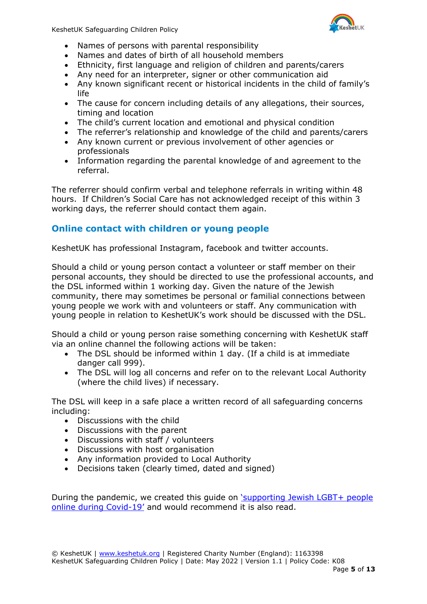

- Names of persons with parental responsibility
- Names and dates of birth of all household members
- Ethnicity, first language and religion of children and parents/carers
- Any need for an interpreter, signer or other communication aid
- Any known significant recent or historical incidents in the child of family's life
- The cause for concern including details of any allegations, their sources, timing and location
- The child's current location and emotional and physical condition
- The referrer's relationship and knowledge of the child and parents/carers
- Any known current or previous involvement of other agencies or professionals
- Information regarding the parental knowledge of and agreement to the referral.

The referrer should confirm verbal and telephone referrals in writing within 48 hours. If Children's Social Care has not acknowledged receipt of this within 3 working days, the referrer should contact them again.

### **Online contact with children or young people**

KeshetUK has professional Instagram, facebook and twitter accounts.

Should a child or young person contact a volunteer or staff member on their personal accounts, they should be directed to use the professional accounts, and the DSL informed within 1 working day. Given the nature of the Jewish community, there may sometimes be personal or familial connections between young people we work with and volunteers or staff. Any communication with young people in relation to KeshetUK's work should be discussed with the DSL.

Should a child or young person raise something concerning with KeshetUK staff via an online channel the following actions will be taken:

- The DSL should be informed within 1 day. (If a child is at immediate danger call 999).
- The DSL will log all concerns and refer on to the relevant Local Authority (where the child lives) if necessary.

The DSL will keep in a safe place a written record of all safeguarding concerns including:

- Discussions with the child
- Discussions with the parent
- Discussions with staff / volunteers
- Discussions with host organisation
- Any information provided to Local Authority
- Decisions taken (clearly timed, dated and signed)

During the pandemic, we created this guide on ['supporting Jewish LGBT+ people](https://www.keshetuk.org/supportduringcovid.html)  [online during Covid-](https://www.keshetuk.org/supportduringcovid.html)19' and would recommend it is also read.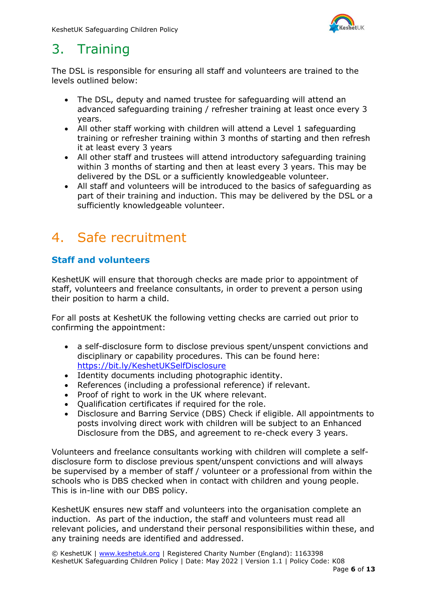

## 3. Training

The DSL is responsible for ensuring all staff and volunteers are trained to the levels outlined below:

- The DSL, deputy and named trustee for safeguarding will attend an advanced safeguarding training / refresher training at least once every 3 years.
- All other staff working with children will attend a Level 1 safeguarding training or refresher training within 3 months of starting and then refresh it at least every 3 years
- All other staff and trustees will attend introductory safeguarding training within 3 months of starting and then at least every 3 years. This may be delivered by the DSL or a sufficiently knowledgeable volunteer.
- All staff and volunteers will be introduced to the basics of safeguarding as part of their training and induction. This may be delivered by the DSL or a sufficiently knowledgeable volunteer.

## 4. Safe recruitment

### **Staff and volunteers**

KeshetUK will ensure that thorough checks are made prior to appointment of staff, volunteers and freelance consultants, in order to prevent a person using their position to harm a child.

For all posts at KeshetUK the following vetting checks are carried out prior to confirming the appointment:

- a self-disclosure form to disclose previous spent/unspent convictions and disciplinary or capability procedures. This can be found here: <https://bit.ly/KeshetUKSelfDisclosure>
- Identity documents including photographic identity.
- References (including a professional reference) if relevant.
- Proof of right to work in the UK where relevant.
- Qualification certificates if required for the role.
- Disclosure and Barring Service (DBS) Check if eligible. All appointments to posts involving direct work with children will be subject to an Enhanced Disclosure from the DBS, and agreement to re-check every 3 years.

Volunteers and freelance consultants working with children will complete a selfdisclosure form to disclose previous spent/unspent convictions and will always be supervised by a member of staff / volunteer or a professional from within the schools who is DBS checked when in contact with children and young people. This is in-line with our DBS policy.

KeshetUK ensures new staff and volunteers into the organisation complete an induction. As part of the induction, the staff and volunteers must read all relevant policies, and understand their personal responsibilities within these, and any training needs are identified and addressed.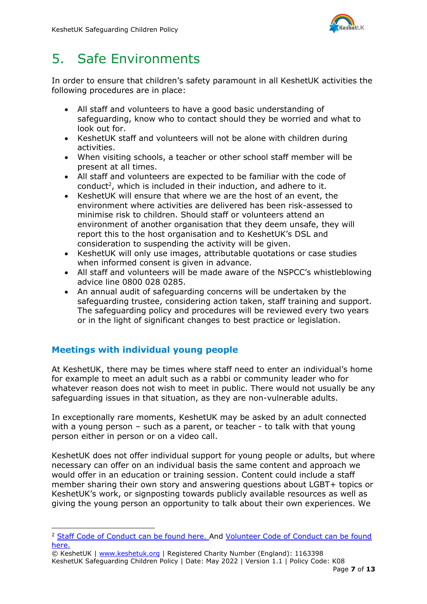

## 5. Safe Environments

In order to ensure that children's safety paramount in all KeshetUK activities the following procedures are in place:

- All staff and volunteers to have a good basic understanding of safeguarding, know who to contact should they be worried and what to look out for.
- KeshetUK staff and volunteers will not be alone with children during activities.
- When visiting schools, a teacher or other school staff member will be present at all times.
- All staff and volunteers are expected to be familiar with the code of  $\text{conduct}^2$ , which is included in their induction, and adhere to it.
- KeshetUK will ensure that where we are the host of an event, the environment where activities are delivered has been risk-assessed to minimise risk to children. Should staff or volunteers attend an environment of another organisation that they deem unsafe, they will report this to the host organisation and to KeshetUK's DSL and consideration to suspending the activity will be given.
- KeshetUK will only use images, attributable quotations or case studies when informed consent is given in advance.
- All staff and volunteers will be made aware of the NSPCC's whistleblowing advice line 0800 028 0285.
- An annual audit of safeguarding concerns will be undertaken by the safeguarding trustee, considering action taken, staff training and support. The safeguarding policy and procedures will be reviewed every two years or in the light of significant changes to best practice or legislation.

### **Meetings with individual young people**

At KeshetUK, there may be times where staff need to enter an individual's home for example to meet an adult such as a rabbi or community leader who for whatever reason does not wish to meet in public. There would not usually be any safeguarding issues in that situation, as they are non-vulnerable adults.

In exceptionally rare moments, KeshetUK may be asked by an adult connected with a young person – such as a parent, or teacher - to talk with that young person either in person or on a video call.

KeshetUK does not offer individual support for young people or adults, but where necessary can offer on an individual basis the same content and approach we would offer in an education or training session. Content could include a staff member sharing their own story and answering questions about LGBT+ topics or KeshetUK's work, or signposting towards publicly available resources as well as giving the young person an opportunity to talk about their own experiences. We

<sup>2</sup> [Staff Code of Conduct can be found here. A](http://www.keshetuk.org/uploads/1/3/8/6/13861493/k17a._keshetuk_employee_code_of_conduct.pdf)nd [Volunteer Code of Conduct can be found](http://www.keshetuk.org/uploads/1/3/8/6/13861493/k17b._keshetuk_volunteer_code_of_conduct.pdf)  [here.](http://www.keshetuk.org/uploads/1/3/8/6/13861493/k17b._keshetuk_volunteer_code_of_conduct.pdf) 

<sup>©</sup> KeshetUK | [www.keshetuk.org](http://www.keshetuk.org/) | Registered Charity Number (England): 1163398 KeshetUK Safeguarding Children Policy | Date: May 2022 | Version 1.1 | Policy Code: K08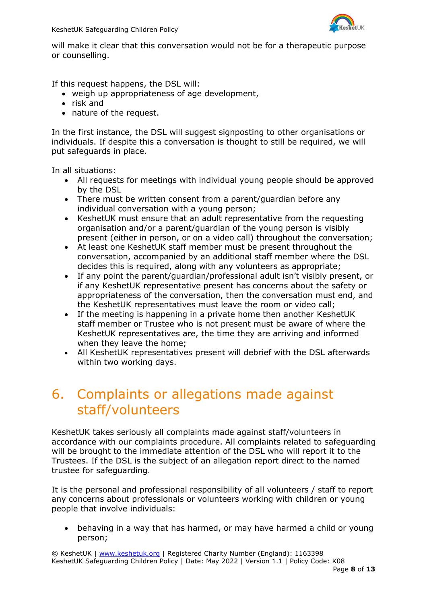

will make it clear that this conversation would not be for a therapeutic purpose or counselling.

If this request happens, the DSL will:

- weigh up appropriateness of age development,
- risk and
- nature of the request.

In the first instance, the DSL will suggest signposting to other organisations or individuals. If despite this a conversation is thought to still be required, we will put safeguards in place.

In all situations:

- All requests for meetings with individual young people should be approved by the DSL
- There must be written consent from a parent/guardian before any individual conversation with a young person;
- KeshetUK must ensure that an adult representative from the requesting organisation and/or a parent/guardian of the young person is visibly present (either in person, or on a video call) throughout the conversation;
- At least one KeshetUK staff member must be present throughout the conversation, accompanied by an additional staff member where the DSL decides this is required, along with any volunteers as appropriate;
- If any point the parent/guardian/professional adult isn't visibly present, or if any KeshetUK representative present has concerns about the safety or appropriateness of the conversation, then the conversation must end, and the KeshetUK representatives must leave the room or video call;
- If the meeting is happening in a private home then another KeshetUK staff member or Trustee who is not present must be aware of where the KeshetUK representatives are, the time they are arriving and informed when they leave the home;
- All KeshetUK representatives present will debrief with the DSL afterwards within two working days.

## 6. Complaints or allegations made against staff/volunteers

KeshetUK takes seriously all complaints made against staff/volunteers in accordance with our complaints procedure. All complaints related to safeguarding will be brought to the immediate attention of the DSL who will report it to the Trustees. If the DSL is the subject of an allegation report direct to the named trustee for safeguarding.

It is the personal and professional responsibility of all volunteers / staff to report any concerns about professionals or volunteers working with children or young people that involve individuals:

• behaving in a way that has harmed, or may have harmed a child or young person;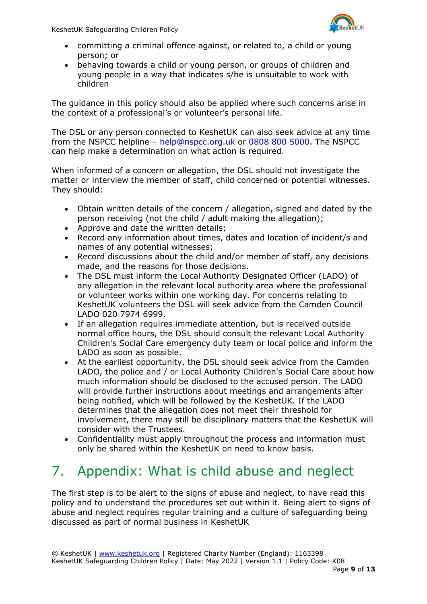

- committing a criminal offence against, or related to, a child or young person; or
- behaving towards a child or young person, or groups of children and young people in a way that indicates s/he is unsuitable to work with children

The guidance in this policy should also be applied where such concerns arise in the context of a professional's or volunteer's personal life.

The DSL or any person connected to KeshetUK can also seek advice at any time from the NSPCC helpline – help@nspcc.org.uk or 0808 800 5000. The NSPCC can help make a determination on what action is required.

When informed of a concern or allegation, the DSL should not investigate the matter or interview the member of staff, child concerned or potential witnesses. They should:

- Obtain written details of the concern / allegation, signed and dated by the person receiving (not the child / adult making the allegation);
- Approve and date the written details;
- Record any information about times, dates and location of incident/s and names of any potential witnesses;
- Record discussions about the child and/or member of staff, any decisions made, and the reasons for those decisions.
- The DSL must inform the Local Authority Designated Officer (LADO) of any allegation in the relevant local authority area where the professional or volunteer works within one working day. For concerns relating to KeshetUK volunteers the DSL will seek advice from the Camden Council LADO 020 7974 6999.
- If an allegation requires immediate attention, but is received outside normal office hours, the DSL should consult the relevant Local Authority Children's Social Care emergency duty team or local police and inform the LADO as soon as possible.
- At the earliest opportunity, the DSL should seek advice from the Camden LADO, the police and / or Local Authority Children's Social Care about how much information should be disclosed to the accused person. The LADO will provide further instructions about meetings and arrangements after being notified, which will be followed by the KeshetUK. If the LADO determines that the allegation does not meet their threshold for involvement, there may still be disciplinary matters that the KeshetUK will consider with the Trustees.
- Confidentiality must apply throughout the process and information must only be shared within the KeshetUK on need to know basis.

## 7. Appendix: What is child abuse and neglect

The first step is to be alert to the signs of abuse and neglect, to have read this policy and to understand the procedures set out within it. Being alert to signs of abuse and neglect requires regular training and a culture of safeguarding being discussed as part of normal business in KeshetUK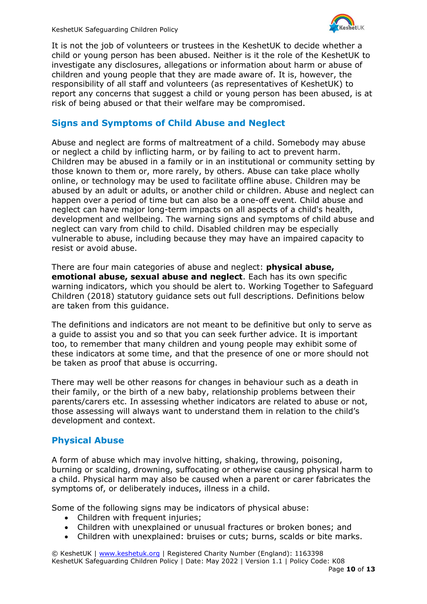

It is not the job of volunteers or trustees in the KeshetUK to decide whether a child or young person has been abused. Neither is it the role of the KeshetUK to investigate any disclosures, allegations or information about harm or abuse of children and young people that they are made aware of. It is, however, the responsibility of all staff and volunteers (as representatives of KeshetUK) to report any concerns that suggest a child or young person has been abused, is at risk of being abused or that their welfare may be compromised.

### **Signs and Symptoms of Child Abuse and Neglect**

Abuse and neglect are forms of maltreatment of a child. Somebody may abuse or neglect a child by inflicting harm, or by failing to act to prevent harm. Children may be abused in a family or in an institutional or community setting by those known to them or, more rarely, by others. Abuse can take place wholly online, or technology may be used to facilitate offline abuse. Children may be abused by an adult or adults, or another child or children. Abuse and neglect can happen over a period of time but can also be a one-off event. Child abuse and neglect can have major long-term impacts on all aspects of a child's health, development and wellbeing. The warning signs and symptoms of child abuse and neglect can vary from child to child. Disabled children may be especially vulnerable to abuse, including because they may have an impaired capacity to resist or avoid abuse.

There are four main categories of abuse and neglect: **physical abuse, emotional abuse, sexual abuse and neglect**. Each has its own specific warning indicators, which you should be alert to. Working Together to Safeguard Children (2018) statutory guidance sets out full descriptions. Definitions below are taken from this guidance.

The definitions and indicators are not meant to be definitive but only to serve as a guide to assist you and so that you can seek further advice. It is important too, to remember that many children and young people may exhibit some of these indicators at some time, and that the presence of one or more should not be taken as proof that abuse is occurring.

There may well be other reasons for changes in behaviour such as a death in their family, or the birth of a new baby, relationship problems between their parents/carers etc. In assessing whether indicators are related to abuse or not, those assessing will always want to understand them in relation to the child's development and context.

#### **Physical Abuse**

A form of abuse which may involve hitting, shaking, throwing, poisoning, burning or scalding, drowning, suffocating or otherwise causing physical harm to a child. Physical harm may also be caused when a parent or carer fabricates the symptoms of, or deliberately induces, illness in a child.

Some of the following signs may be indicators of physical abuse:

- Children with frequent injuries:
- Children with unexplained or unusual fractures or broken bones; and
- Children with unexplained: bruises or cuts; burns, scalds or bite marks.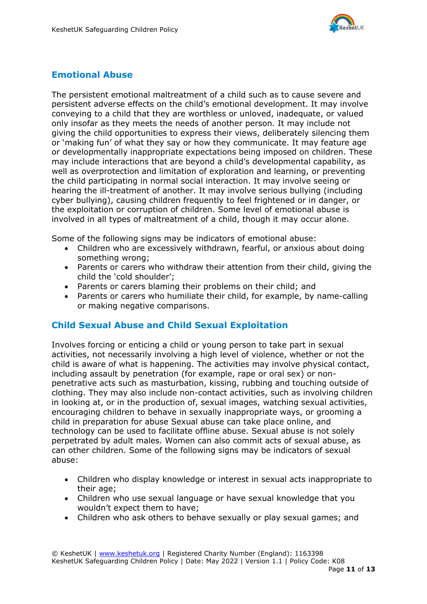

### **Emotional Abuse**

The persistent emotional maltreatment of a child such as to cause severe and persistent adverse effects on the child's emotional development. It may involve conveying to a child that they are worthless or unloved, inadequate, or valued only insofar as they meets the needs of another person. It may include not giving the child opportunities to express their views, deliberately silencing them or 'making fun' of what they say or how they communicate. It may feature age or developmentally inappropriate expectations being imposed on children. These may include interactions that are beyond a child's developmental capability, as well as overprotection and limitation of exploration and learning, or preventing the child participating in normal social interaction. It may involve seeing or hearing the ill-treatment of another. It may involve serious bullying (including cyber bullying), causing children frequently to feel frightened or in danger, or the exploitation or corruption of children. Some level of emotional abuse is involved in all types of maltreatment of a child, though it may occur alone.

Some of the following signs may be indicators of emotional abuse:

- Children who are excessively withdrawn, fearful, or anxious about doing something wrong;
- Parents or carers who withdraw their attention from their child, giving the child the 'cold shoulder';
- Parents or carers blaming their problems on their child; and
- Parents or carers who humiliate their child, for example, by name-calling or making negative comparisons.

### **Child Sexual Abuse and Child Sexual Exploitation**

Involves forcing or enticing a child or young person to take part in sexual activities, not necessarily involving a high level of violence, whether or not the child is aware of what is happening. The activities may involve physical contact, including assault by penetration (for example, rape or oral sex) or nonpenetrative acts such as masturbation, kissing, rubbing and touching outside of clothing. They may also include non-contact activities, such as involving children in looking at, or in the production of, sexual images, watching sexual activities, encouraging children to behave in sexually inappropriate ways, or grooming a child in preparation for abuse Sexual abuse can take place online, and technology can be used to facilitate offline abuse. Sexual abuse is not solely perpetrated by adult males. Women can also commit acts of sexual abuse, as can other children. Some of the following signs may be indicators of sexual abuse:

- Children who display knowledge or interest in sexual acts inappropriate to their age;
- Children who use sexual language or have sexual knowledge that you wouldn't expect them to have;
- Children who ask others to behave sexually or play sexual games; and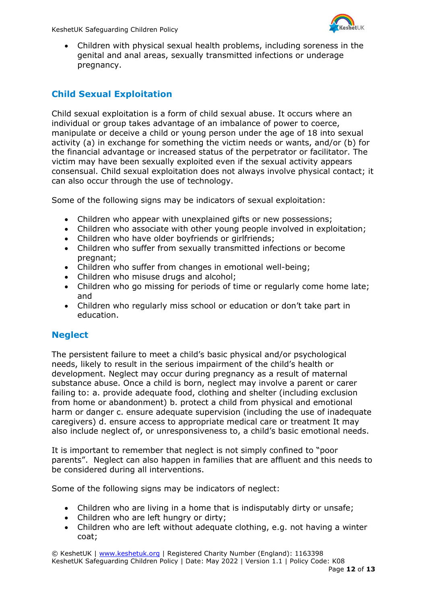

• Children with physical sexual health problems, including soreness in the genital and anal areas, sexually transmitted infections or underage pregnancy.

### **Child Sexual Exploitation**

Child sexual exploitation is a form of child sexual abuse. It occurs where an individual or group takes advantage of an imbalance of power to coerce, manipulate or deceive a child or young person under the age of 18 into sexual activity (a) in exchange for something the victim needs or wants, and/or (b) for the financial advantage or increased status of the perpetrator or facilitator. The victim may have been sexually exploited even if the sexual activity appears consensual. Child sexual exploitation does not always involve physical contact; it can also occur through the use of technology.

Some of the following signs may be indicators of sexual exploitation:

- Children who appear with unexplained gifts or new possessions;
- Children who associate with other young people involved in exploitation;
- Children who have older boyfriends or girlfriends;
- Children who suffer from sexually transmitted infections or become pregnant;
- Children who suffer from changes in emotional well-being;
- Children who misuse drugs and alcohol;
- Children who go missing for periods of time or regularly come home late; and
- Children who regularly miss school or education or don't take part in education.

#### **Neglect**

The persistent failure to meet a child's basic physical and/or psychological needs, likely to result in the serious impairment of the child's health or development. Neglect may occur during pregnancy as a result of maternal substance abuse. Once a child is born, neglect may involve a parent or carer failing to: a. provide adequate food, clothing and shelter (including exclusion from home or abandonment) b. protect a child from physical and emotional harm or danger c. ensure adequate supervision (including the use of inadequate caregivers) d. ensure access to appropriate medical care or treatment It may also include neglect of, or unresponsiveness to, a child's basic emotional needs.

It is important to remember that neglect is not simply confined to "poor parents". Neglect can also happen in families that are affluent and this needs to be considered during all interventions.

Some of the following signs may be indicators of neglect:

- Children who are living in a home that is indisputably dirty or unsafe;
- Children who are left hungry or dirty;
- Children who are left without adequate clothing, e.g. not having a winter coat;